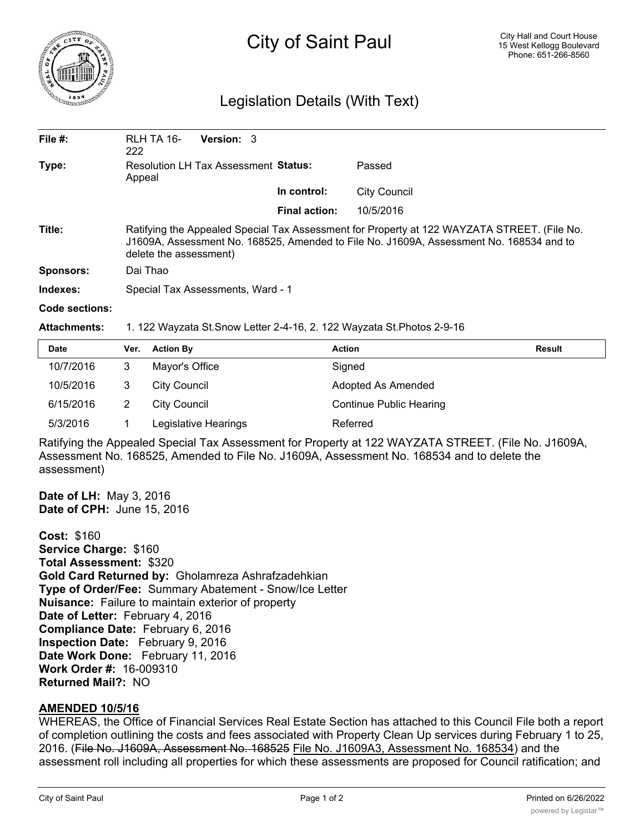

## City of Saint Paul

## Legislation Details (With Text)

| File $#$ :     | RLH TA 16-<br>222                                                                                                                                                                                                | <b>Version: 3</b> |                      |                     |  |  |
|----------------|------------------------------------------------------------------------------------------------------------------------------------------------------------------------------------------------------------------|-------------------|----------------------|---------------------|--|--|
| Type:          | <b>Resolution LH Tax Assessment Status:</b><br>Appeal                                                                                                                                                            |                   |                      | Passed              |  |  |
|                |                                                                                                                                                                                                                  |                   | In control:          | <b>City Council</b> |  |  |
|                |                                                                                                                                                                                                                  |                   | <b>Final action:</b> | 10/5/2016           |  |  |
| Title:         | Ratifying the Appealed Special Tax Assessment for Property at 122 WAYZATA STREET. (File No.<br>J1609A, Assessment No. 168525, Amended to File No. J1609A, Assessment No. 168534 and to<br>delete the assessment) |                   |                      |                     |  |  |
| Sponsors:      | Dai Thao                                                                                                                                                                                                         |                   |                      |                     |  |  |
| Indexes:       | Special Tax Assessments, Ward - 1                                                                                                                                                                                |                   |                      |                     |  |  |
| Code sections: |                                                                                                                                                                                                                  |                   |                      |                     |  |  |

**Attachments:** 1. 122 Wayzata St.Snow Letter 2-4-16, 2. 122 Wayzata St.Photos 2-9-16

| <b>Date</b> | Ver. | <b>Action By</b>     | <b>Action</b>                  | <b>Result</b> |
|-------------|------|----------------------|--------------------------------|---------------|
| 10/7/2016   |      | Mayor's Office       | Signed                         |               |
| 10/5/2016   |      | City Council         | Adopted As Amended             |               |
| 6/15/2016   |      | City Council         | <b>Continue Public Hearing</b> |               |
| 5/3/2016    |      | Legislative Hearings | Referred                       |               |

Ratifying the Appealed Special Tax Assessment for Property at 122 WAYZATA STREET. (File No. J1609A, Assessment No. 168525, Amended to File No. J1609A, Assessment No. 168534 and to delete the assessment)

**Date of LH:** May 3, 2016 **Date of CPH:** June 15, 2016

**Cost:** \$160 **Service Charge:** \$160 **Total Assessment:** \$320 **Gold Card Returned by:** Gholamreza Ashrafzadehkian **Type of Order/Fee:** Summary Abatement - Snow/Ice Letter **Nuisance:** Failure to maintain exterior of property **Date of Letter:** February 4, 2016 **Compliance Date:** February 6, 2016 **Inspection Date:** February 9, 2016 **Date Work Done:** February 11, 2016 **Work Order #:** 16-009310 **Returned Mail?:** NO

## **AMENDED 10/5/16**

WHEREAS, the Office of Financial Services Real Estate Section has attached to this Council File both a report of completion outlining the costs and fees associated with Property Clean Up services during February 1 to 25, 2016. (File No. J1609A, Assessment No. 168525 File No. J1609A3, Assessment No. 168534) and the assessment roll including all properties for which these assessments are proposed for Council ratification; and